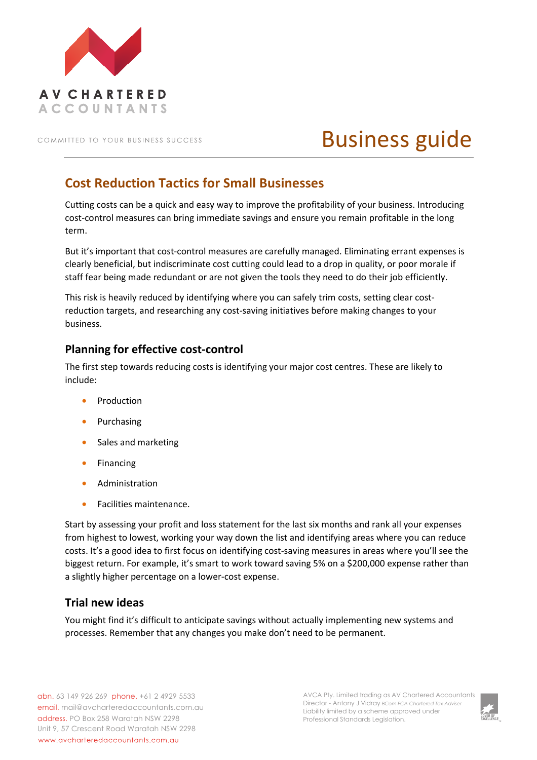

COMMITTED TO YOUR BUSINESS SUCCESS

# Business guide

# **Cost Reduction Tactics for Small Businesses**

Cutting costs can be a quick and easy way to improve the profitability of your business. Introducing cost-control measures can bring immediate savings and ensure you remain profitable in the long term.

But it's important that cost-control measures are carefully managed. Eliminating errant expenses is clearly beneficial, but indiscriminate cost cutting could lead to a drop in quality, or poor morale if staff fear being made redundant or are not given the tools they need to do their job efficiently.

This risk is heavily reduced by identifying where you can safely trim costs, setting clear costreduction targets, and researching any cost-saving initiatives before making changes to your business.

# **Planning for effective cost-control**

The first step towards reducing costs is identifying your major cost centres. These are likely to include:

- **Production**
- Purchasing
- Sales and marketing
- Financing
- Administration
- Facilities maintenance.

Start by assessing your profit and loss statement for the last six months and rank all your expenses from highest to lowest, working your way down the list and identifying areas where you can reduce costs. It's a good idea to first focus on identifying cost-saving measures in areas where you'll see the biggest return. For example, it's smart to work toward saving 5% on a \$200,000 expense rather than a slightly higher percentage on a lower-cost expense.

## **Trial new ideas**

You might find it's difficult to anticipate savings without actually implementing new systems and processes. Remember that any changes you make don't need to be permanent.

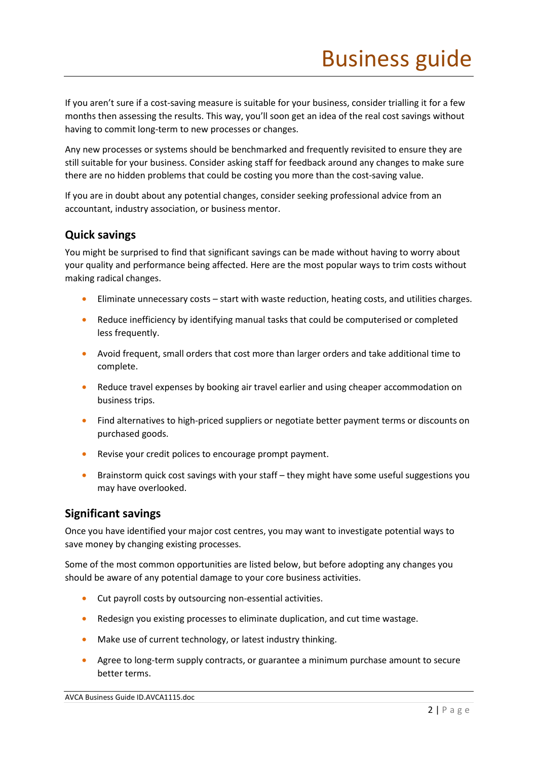If you aren't sure if a cost-saving measure is suitable for your business, consider trialling it for a few months then assessing the results. This way, you'll soon get an idea of the real cost savings without having to commit long-term to new processes or changes.

Any new processes or systems should be benchmarked and frequently revisited to ensure they are still suitable for your business. Consider asking staff for feedback around any changes to make sure there are no hidden problems that could be costing you more than the cost-saving value.

If you are in doubt about any potential changes, consider seeking professional advice from an accountant, industry association, or business mentor.

## **Quick savings**

You might be surprised to find that significant savings can be made without having to worry about your quality and performance being affected. Here are the most popular ways to trim costs without making radical changes.

- Eliminate unnecessary costs start with waste reduction, heating costs, and utilities charges.
- Reduce inefficiency by identifying manual tasks that could be computerised or completed less frequently.
- Avoid frequent, small orders that cost more than larger orders and take additional time to complete.
- Reduce travel expenses by booking air travel earlier and using cheaper accommodation on business trips.
- Find alternatives to high-priced suppliers or negotiate better payment terms or discounts on purchased goods.
- Revise your credit polices to encourage prompt payment.
- Brainstorm quick cost savings with your staff they might have some useful suggestions you may have overlooked.

#### **Significant savings**

Once you have identified your major cost centres, you may want to investigate potential ways to save money by changing existing processes.

Some of the most common opportunities are listed below, but before adopting any changes you should be aware of any potential damage to your core business activities.

- Cut payroll costs by outsourcing non-essential activities.
- Redesign you existing processes to eliminate duplication, and cut time wastage.
- Make use of current technology, or latest industry thinking.
- Agree to long-term supply contracts, or guarantee a minimum purchase amount to secure better terms.